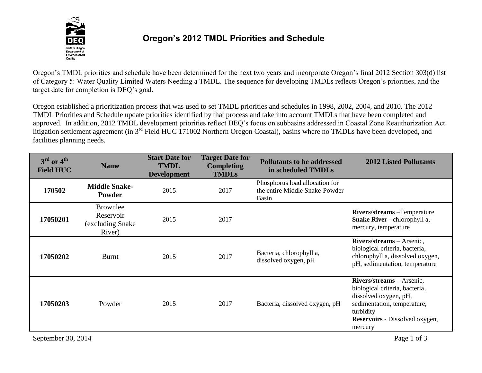

## **Oregon's 2012 TMDL Priorities and Schedule**

Oregon's TMDL priorities and schedule have been determined for the next two years and incorporate Oregon's final 2012 Section 303(d) list of Category 5: Water Quality Limited Waters Needing a TMDL. The sequence for developing TMDLs reflects Oregon's priorities, and the target date for completion is DEQ's goal.

Oregon established a prioritization process that was used to set TMDL priorities and schedules in 1998, 2002, 2004, and 2010. The 2012 TMDL Priorities and Schedule update priorities identified by that process and take into account TMDLs that have been completed and approved. In addition, 2012 TMDL development priorities reflect DEQ's focus on subbasins addressed in Coastal Zone Reauthorization Act litigation settlement agreement (in 3<sup>rd</sup> Field HUC 171002 Northern Oregon Coastal), basins where no TMDLs have been developed, and facilities planning needs.

| $3rd$ or $4th$<br><b>Field HUC</b> | <b>Name</b>                                                 | <b>Start Date for</b><br><b>TMDL</b><br><b>Development</b> | <b>Target Date for</b><br><b>Completing</b><br><b>TMDLs</b> | <b>Pollutants to be addressed</b><br>in scheduled TMDLs                          | <b>2012 Listed Pollutants</b>                                                                                                                                                        |
|------------------------------------|-------------------------------------------------------------|------------------------------------------------------------|-------------------------------------------------------------|----------------------------------------------------------------------------------|--------------------------------------------------------------------------------------------------------------------------------------------------------------------------------------|
| 170502                             | <b>Middle Snake-</b><br>Powder                              | 2015                                                       | 2017                                                        | Phosphorus load allocation for<br>the entire Middle Snake-Powder<br><b>Basin</b> |                                                                                                                                                                                      |
| 17050201                           | <b>Brownlee</b><br>Reservoir<br>(excluding Snake)<br>River) | 2015                                                       | 2017                                                        |                                                                                  | <b>Rivers/streams</b> - Temperature<br>Snake River - chlorophyll a,<br>mercury, temperature                                                                                          |
| 17050202                           | <b>Burnt</b>                                                | 2015                                                       | 2017                                                        | Bacteria, chlorophyll a,<br>dissolved oxygen, pH                                 | Rivers/streams - Arsenic,<br>biological criteria, bacteria,<br>chlorophyll a, dissolved oxygen,<br>pH, sedimentation, temperature                                                    |
| 17050203                           | Powder                                                      | 2015                                                       | 2017                                                        | Bacteria, dissolved oxygen, pH                                                   | Rivers/streams - Arsenic,<br>biological criteria, bacteria,<br>dissolved oxygen, pH,<br>sedimentation, temperature,<br>turbidity<br><b>Reservoirs</b> - Dissolved oxygen,<br>mercury |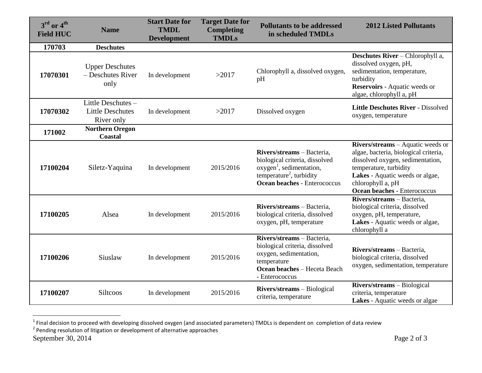| $3^{\text{rd}}$ or $4^{\text{th}}$<br><b>Field HUC</b> | <b>Name</b>                                                | <b>Start Date for</b><br><b>TMDL</b><br><b>Development</b> | <b>Target Date for</b><br><b>Completing</b><br><b>TMDLs</b> | <b>Pollutants to be addressed</b><br>in scheduled TMDLs                                                                                                                             | <b>2012 Listed Pollutants</b>                                                                                                                                                                                                                  |
|--------------------------------------------------------|------------------------------------------------------------|------------------------------------------------------------|-------------------------------------------------------------|-------------------------------------------------------------------------------------------------------------------------------------------------------------------------------------|------------------------------------------------------------------------------------------------------------------------------------------------------------------------------------------------------------------------------------------------|
| 170703                                                 | <b>Deschutes</b>                                           |                                                            |                                                             |                                                                                                                                                                                     |                                                                                                                                                                                                                                                |
| 17070301                                               | <b>Upper Deschutes</b><br>- Deschutes River<br>only        | In development                                             | >2017                                                       | Chlorophyll a, dissolved oxygen,<br>pH                                                                                                                                              | <b>Deschutes River</b> – Chlorophyll a,<br>dissolved oxygen, pH,<br>sedimentation, temperature,<br>turbidity<br>Reservoirs - Aquatic weeds or<br>algae, chlorophyll a, pH                                                                      |
| 17070302                                               | Little Deschutes-<br><b>Little Deschutes</b><br>River only | In development                                             | >2017                                                       | Dissolved oxygen                                                                                                                                                                    | Little Deschutes River - Dissolved<br>oxygen, temperature                                                                                                                                                                                      |
| 171002                                                 | <b>Northern Oregon</b><br>Coastal                          |                                                            |                                                             |                                                                                                                                                                                     |                                                                                                                                                                                                                                                |
| 17100204                                               | Siletz-Yaquina                                             | In development                                             | 2015/2016                                                   | Rivers/streams - Bacteria,<br>biological criteria, dissolved<br>oxygen <sup>1</sup> , sedimentation,<br>temperature <sup>2</sup> , turbidity<br><b>Ocean beaches - Enterococcus</b> | <b>Rivers/streams</b> – Aquatic weeds or<br>algae, bacteria, biological criteria,<br>dissolved oxygen, sedimentation,<br>temperature, turbidity<br>Lakes - Aquatic weeds or algae,<br>chlorophyll a, pH<br><b>Ocean beaches - Enterococcus</b> |
| 17100205                                               | Alsea                                                      | In development                                             | 2015/2016                                                   | Rivers/streams - Bacteria,<br>biological criteria, dissolved<br>oxygen, pH, temperature                                                                                             | Rivers/streams - Bacteria,<br>biological criteria, dissolved<br>oxygen, pH, temperature,<br>Lakes - Aquatic weeds or algae,<br>chlorophyll a                                                                                                   |
| 17100206                                               | Siuslaw                                                    | In development                                             | 2015/2016                                                   | Rivers/streams - Bacteria,<br>biological criteria, dissolved<br>oxygen, sedimentation,<br>temperature<br>Ocean beaches - Heceta Beach<br>- Enterococcus                             | Rivers/streams - Bacteria,<br>biological criteria, dissolved<br>oxygen, sedimentation, temperature                                                                                                                                             |
| 17100207                                               | Siltcoos                                                   | In development                                             | 2015/2016                                                   | <b>Rivers/streams</b> – Biological<br>criteria, temperature                                                                                                                         | Rivers/streams - Biological<br>criteria, temperature<br>Lakes - Aquatic weeds or algae                                                                                                                                                         |

<sup>1&</sup>lt;br><sup>1</sup> Final decision to proceed with developing dissolved oxygen (and associated parameters) TMDLs is dependent on completion of data review<br><sup>2</sup> Pending resolution of litigation or development of alternative approaches

September 30, 2014 Page 2 of 3